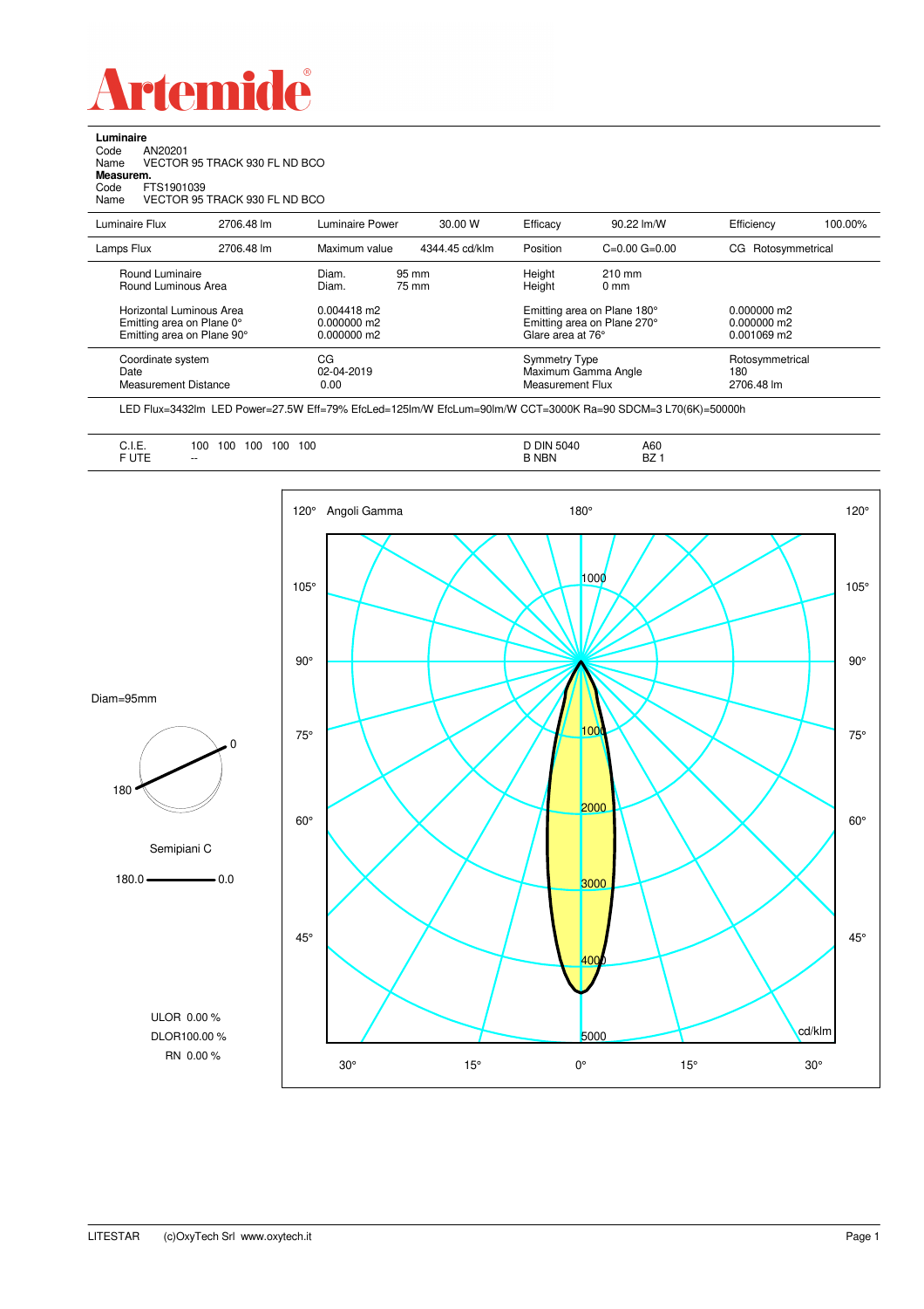

**Luminaire**<br>Code *A*<br>Name V Code AN20201 Name VECTOR 95 TRACK 930 FL ND BCO **Measurem.** Code FTS1901039 Name VECTOR 95 TRACK 930 FL ND BCO

| Luminaire Flux                                                                      | 2706.48 lm | Luminaire Power                                 | 30.00 W        | Efficacy                                 | 90.22 lm/W                                                 | Efficiency                                    | 100.00% |
|-------------------------------------------------------------------------------------|------------|-------------------------------------------------|----------------|------------------------------------------|------------------------------------------------------------|-----------------------------------------------|---------|
| Lamps Flux                                                                          | 2706.48 lm | Maximum value                                   | 4344.45 cd/klm | Position                                 | $C=0.00$ $G=0.00$                                          | Rotosymmetrical<br>CG.                        |         |
| Round Luminaire<br>Round Luminous Area                                              |            | Diam.<br>Diam.                                  | 95 mm<br>75 mm | Height<br>Height                         | $210 \text{ mm}$<br>$0 \text{ mm}$                         |                                               |         |
| Horizontal Luminous Area<br>Emitting area on Plane 0°<br>Emitting area on Plane 90° |            | $0.004418$ m2<br>$0.000000$ m2<br>$0.000000$ m2 |                | Glare area at 76°                        | Emitting area on Plane 180°<br>Emitting area on Plane 270° | 0.000000 m2<br>$0.000000$ m2<br>$0.001069$ m2 |         |
| Coordinate system<br>Date<br>Measurement Distance                                   |            | CG<br>02-04-2019<br>0.00                        |                | <b>Symmetry Type</b><br>Measurement Flux | Maximum Gamma Angle                                        | Rotosymmetrical<br>180<br>2706.48 lm          |         |

LED Flux=3432lm LED Power=27.5W Eff=79% EfcLed=125lm/W EfcLum=90lm/W CCT=3000K Ra=90 SDCM=3 L70(6K)=50000h